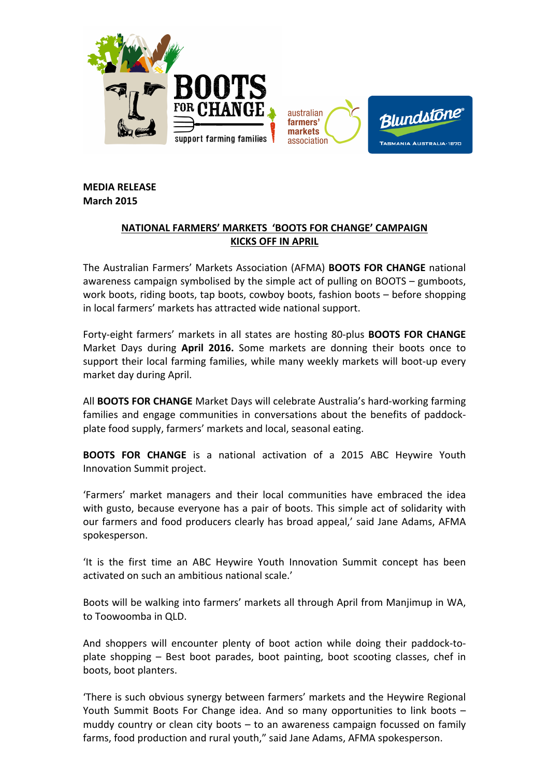

**MEDIA RELEASE March!2015**

## **NATIONAL FARMERS' MARKETS 'BOOTS FOR CHANGE' CAMPAIGN KICKS OFF IN APRIL**

The Australian Farmers' Markets Association (AFMA) **BOOTS FOR CHANGE** national awareness campaign symbolised by the simple act of pulling on BOOTS – gumboots, work boots, riding boots, tap boots, cowboy boots, fashion boots – before shopping in local farmers' markets has attracted wide national support.

Forty-eight farmers' markets in all states are hosting 80-plus **BOOTS FOR CHANGE** Market Days during **April 2016.** Some markets are donning their boots once to support their local farming families, while many weekly markets will boot-up every market day during April.

All **BOOTS FOR CHANGE** Market Days will celebrate Australia's hard-working farming families and engage communities in conversations about the benefits of paddockplate food supply, farmers' markets and local, seasonal eating.

**BOOTS FOR CHANGE** is a national activation of a 2015 ABC Heywire Youth Innovation Summit project.

'Farmers' market managers and their local communities have embraced the idea with gusto, because everyone has a pair of boots. This simple act of solidarity with our farmers and food producers clearly has broad appeal,' said Jane Adams, AFMA spokesperson.

'It is the first time an ABC Heywire Youth Innovation Summit concept has been activated on such an ambitious national scale.'

Boots will be walking into farmers' markets all through April from Manjimup in WA. to Toowoomba in OLD.

And shoppers will encounter plenty of boot action while doing their paddock-toplate shopping – Best boot parades, boot painting, boot scooting classes, chef in boots, boot planters.

'There is such obvious synergy between farmers' markets and the Heywire Regional Youth Summit Boots For Change idea. And so many opportunities to link boots – muddy country or clean city boots  $-$  to an awareness campaign focussed on family farms, food production and rural youth," said Jane Adams, AFMA spokesperson.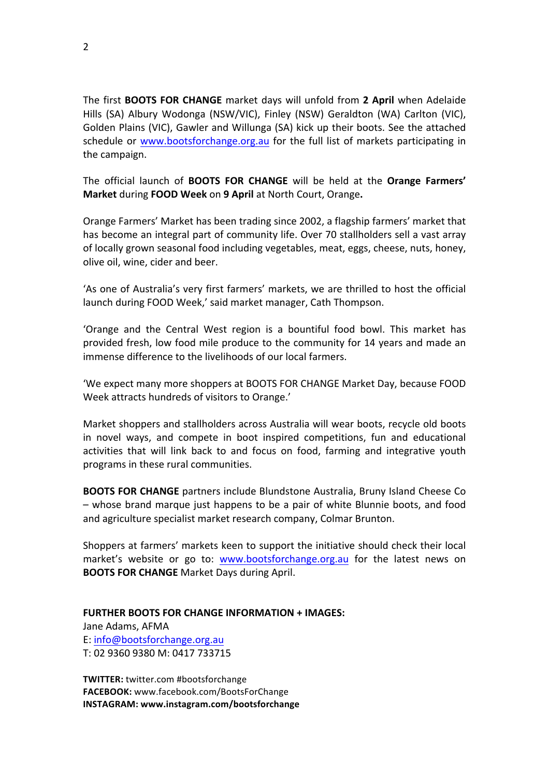The first **BOOTS FOR CHANGE** market days will unfold from 2 April when Adelaide Hills (SA) Albury Wodonga (NSW/VIC), Finley (NSW) Geraldton (WA) Carlton (VIC), Golden Plains (VIC), Gawler and Willunga (SA) kick up their boots. See the attached schedule or www.bootsforchange.org.au for the full list of markets participating in the campaign.

The official launch of **BOOTS FOR CHANGE** will be held at the **Orange Farmers' Market during FOOD Week on 9 April** at North Court, Orange.

Orange Farmers' Market has been trading since 2002, a flagship farmers' market that has become an integral part of community life. Over 70 stallholders sell a vast array of locally grown seasonal food including vegetables, meat, eggs, cheese, nuts, honey, olive oil, wine, cider and beer.

'As one of Australia's very first farmers' markets, we are thrilled to host the official launch during FOOD Week,' said market manager, Cath Thompson.

'Orange and the Central West region is a bountiful food bowl. This market has provided fresh, low food mile produce to the community for 14 years and made an immense difference to the livelihoods of our local farmers.

'We expect many more shoppers at BOOTS FOR CHANGE Market Day, because FOOD Week attracts hundreds of visitors to Orange.'

Market shoppers and stallholders across Australia will wear boots, recycle old boots in novel ways, and compete in boot inspired competitions, fun and educational activities that will link back to and focus on food, farming and integrative youth programs in these rural communities.

**BOOTS FOR CHANGE** partners include Blundstone Australia, Bruny Island Cheese Co – whose brand marque just happens to be a pair of white Blunnie boots, and food and agriculture specialist market research company, Colmar Brunton.

Shoppers at farmers' markets keen to support the initiative should check their local market's website or go to: www.bootsforchange.org.au for the latest news on **BOOTS FOR CHANGE** Market Days during April.

**FURTHER BOOTS FOR CHANGE INFORMATION + IMAGES:** 

Jane Adams, AFMA E: info@bootsforchange.org.au T: 02 9360 9380 M: 0417 733715

**TWITTER:** twitter.com #bootsforchange **FACEBOOK:!**www.facebook.com/BootsForChange **INSTAGRAM:!www.instagram.com/bootsforchange**